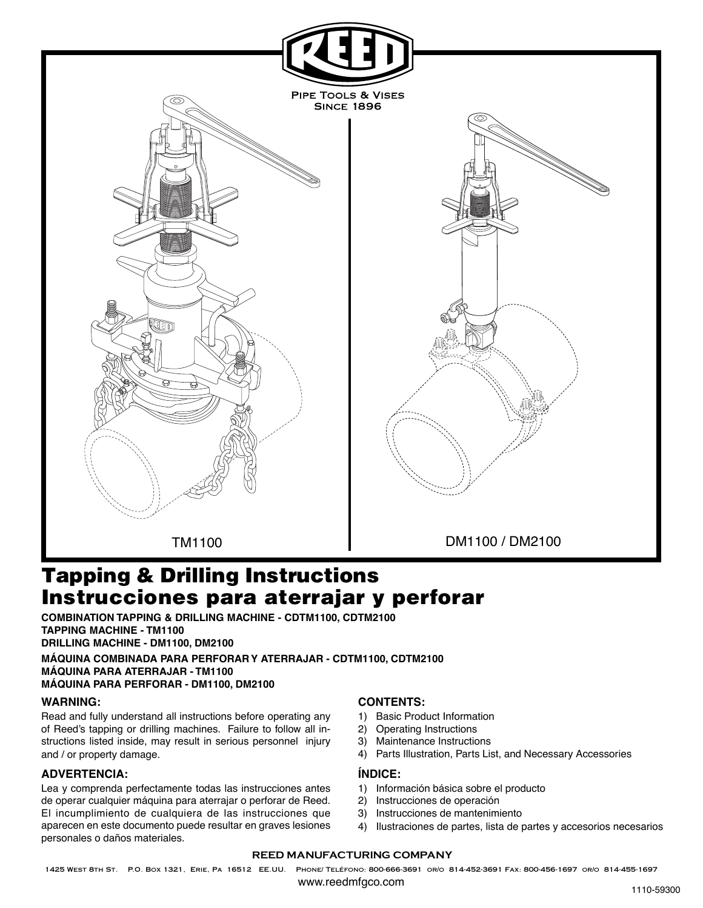

# **Instrucciones para aterrajar y perforar Tapping & Drilling Instructions**

**COMBINATION TAPPING & DRILLING MACHINE - CDTM1100, CDTM2100 TAPPING MACHINE - TM1100 DRILLING MACHINE - DM1100, DM2100**

**MÁQUINA COMBINADA PARA PERFORAR Y ATERRAJAR - CDTM1100, CDTM2100 MÁQUINA PARA ATERRAJAR - TM1100 MÁQUINA PARA PERFORAR - DM1100, DM2100**

# **WARNING:**

Read and fully understand all instructions before operating any of Reed's tapping or drilling machines. Failure to follow all instructions listed inside, may result in serious personnel injury and / or property damage.

# **ADVERTENCIA:**

Lea y comprenda perfectamente todas las instrucciones antes de operar cualquier máquina para aterrajar o perforar de Reed. El incumplimiento de cualquiera de las instrucciones que aparecen en este documento puede resultar en graves lesiones personales o daños materiales.

# **CONTENTS:**

- 1) Basic Product Information
- 2) Operating Instructions
- 3) Maintenance Instructions
- 4) Parts Illustration, Parts List, and Necessary Accessories

## **ÍNDICE:**

- 1) Información básica sobre el producto
- 2) Instrucciones de operación
- 3) Instrucciones de mantenimiento
- 4) Ilustraciones de partes, lista de partes y accesorios necesarios

### **REED MANUFACTURING COMPANY**

1425 West 8th St. P.O. Box 1321, Erie, Pa 16512 EE.UU. Phone/ Teléfono: 800-666-3691 or/o 814-452-3691 Fax: 800-456-1697 or/o 814-455-1697

www.reedmfgco.com and the state of the state of the state of the state of the state of the state of the state of the state of the state of the state of the state of the state of the state of the state of the state of the s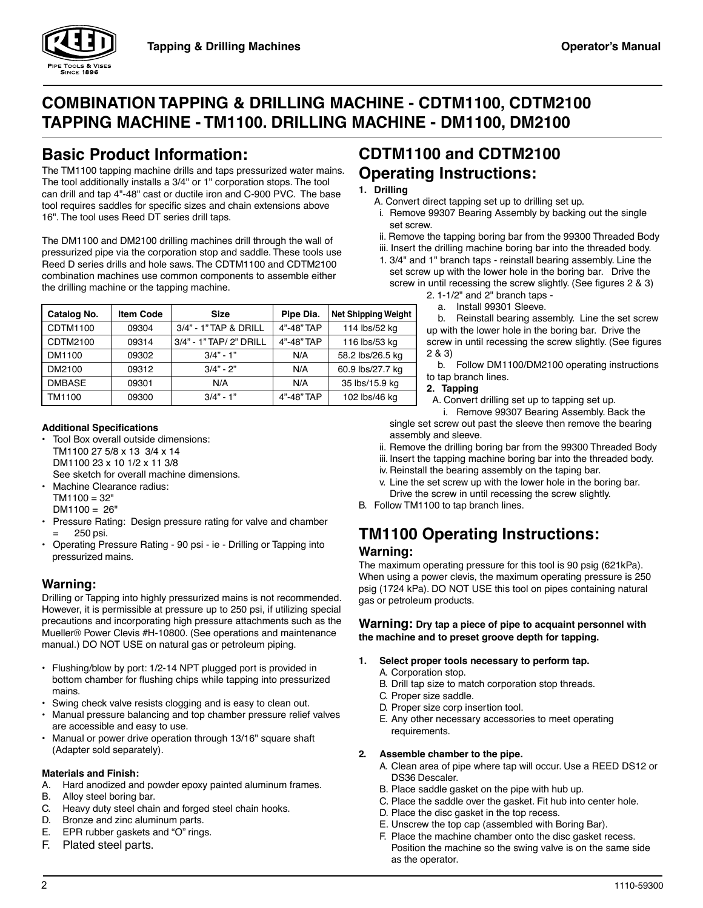

# **COMBINATION TAPPING & DRILLING MACHINE - CDTM1100, CDTM2100 TAPPING MACHINE - TM1100. DRILLING MACHINE - DM1100, DM2100**

# **Basic Product Information:**

The TM1100 tapping machine drills and taps pressurized water mains. The tool additionally installs a 3/4" or 1" corporation stops. The tool can drill and tap 4"-48" cast or ductile iron and C-900 PVC. The base tool requires saddles for specific sizes and chain extensions above 16". The tool uses Reed DT series drill taps.

The DM1100 and DM2100 drilling machines drill through the wall of pressurized pipe via the corporation stop and saddle. These tools use Reed D series drills and hole saws. The CDTM1100 and CDTM2100 combination machines use common components to assemble either the drilling machine or the tapping machine.

| Catalog No.   | <b>Item Code</b> | <b>Size</b>             | Pipe Dia.  | <b>Net Shipping Weight</b> |
|---------------|------------------|-------------------------|------------|----------------------------|
| CDTM1100      | 09304            | $3/4"$ - 1" TAP & DRILL | 4"-48" TAP | 114 lbs/52 kg              |
| CDTM2100      | 09314            | 3/4" - 1" TAP/ 2" DRILL | 4"-48" TAP | 116 lbs/53 kg              |
| DM1100        | 09302            | $3/4" - 1"$             | N/A        | 58.2 lbs/26.5 kg           |
| DM2100        | 09312            | $3/4" - 2"$             | N/A        | 60.9 lbs/27.7 kg           |
| <b>DMBASE</b> | 09301            | N/A                     | N/A        | 35 lbs/15.9 kg             |
| TM1100        | 09300            | $3/4" - 1"$             | 4"-48" TAP | 102 lbs/46 kg              |

## **Additional Specifications**

- Tool Box overall outside dimensions: TM1100 27 5/8 x 13 3/4 x 14 DM1100 23 x 10 1/2 x 11 3/8 See sketch for overall machine dimensions.
- Machine Clearance radius:
- $TM1100 = 32"$  $DM1100 = 26"$
- Pressure Rating: Design pressure rating for valve and chamber = 250 psi.
- Operating Pressure Rating 90 psi ie Drilling or Tapping into pressurized mains.

# **Warning:**

Drilling or Tapping into highly pressurized mains is not recommended. However, it is permissible at pressure up to 250 psi, if utilizing special precautions and incorporating high pressure attachments such as the Mueller® Power Clevis #H-10800. (See operations and maintenance manual.) DO NOT USE on natural gas or petroleum piping.

- Flushing/blow by port: 1/2-14 NPT plugged port is provided in bottom chamber for flushing chips while tapping into pressurized mains.
- Swing check valve resists clogging and is easy to clean out.
- Manual pressure balancing and top chamber pressure relief valves are accessible and easy to use.
- Manual or power drive operation through 13/16" square shaft (Adapter sold separately).

# **Materials and Finish:**

- A. Hard anodized and powder epoxy painted aluminum frames.
- B. Alloy steel boring bar.
- C. Heavy duty steel chain and forged steel chain hooks.
- D. Bronze and zinc aluminum parts.
- E. EPR rubber gaskets and "O" rings.
- F. Plated steel parts.

# **CDTM1100 and CDTM2100 Operating Instructions:**

## **1. Drilling**

- A. Convert direct tapping set up to drilling set up.
- i. Remove 99307 Bearing Assembly by backing out the single set screw.
- ii. Remove the tapping boring bar from the 99300 Threaded Body
- iii. Insert the drilling machine boring bar into the threaded body.
- 1. 3/4" and 1" branch taps reinstall bearing assembly. Line the set screw up with the lower hole in the boring bar. Drive the screw in until recessing the screw slightly. (See figures 2 & 3)
	- 2. 1-1/2" and 2" branch taps
		- a. Install 99301 Sleeve.

 b. Reinstall bearing assembly. Line the set screw up with the lower hole in the boring bar. Drive the screw in until recessing the screw slightly. (See figures 2 & 3)

- b. Follow DM1100/DM2100 operating instructions to tap branch lines.
- **2. Tapping**

A. Convert drilling set up to tapping set up.

i. Remove 99307 Bearing Assembly. Back the single set screw out past the sleeve then remove the bearing assembly and sleeve.

- ii. Remove the drilling boring bar from the 99300 Threaded Body
- iii. Insert the tapping machine boring bar into the threaded body.
- iv. Reinstall the bearing assembly on the taping bar.
- v. Line the set screw up with the lower hole in the boring bar. Drive the screw in until recessing the screw slightly.
- B. Follow TM1100 to tap branch lines.

# **TM1100 Operating Instructions:**

# **Warning:**

The maximum operating pressure for this tool is 90 psig (621kPa). When using a power clevis, the maximum operating pressure is 250 psig (1724 kPa). DO NOT USE this tool on pipes containing natural gas or petroleum products.

**Warning: Dry tap a piece of pipe to acquaint personnel with the machine and to preset groove depth for tapping.**

- **1. Select proper tools necessary to perform tap.**
	- A. Corporation stop.
	- B. Drill tap size to match corporation stop threads.
	- C. Proper size saddle.
	- D. Proper size corp insertion tool.
	- E. Any other necessary accessories to meet operating requirements.

# **2. Assemble chamber to the pipe.**

- A. Clean area of pipe where tap will occur. Use a REED DS12 or DS36 Descaler.
- B. Place saddle gasket on the pipe with hub up.
- C. Place the saddle over the gasket. Fit hub into center hole.
- D. Place the disc gasket in the top recess.
- E. Unscrew the top cap (assembled with Boring Bar).
- F. Place the machine chamber onto the disc gasket recess. Position the machine so the swing valve is on the same side as the operator.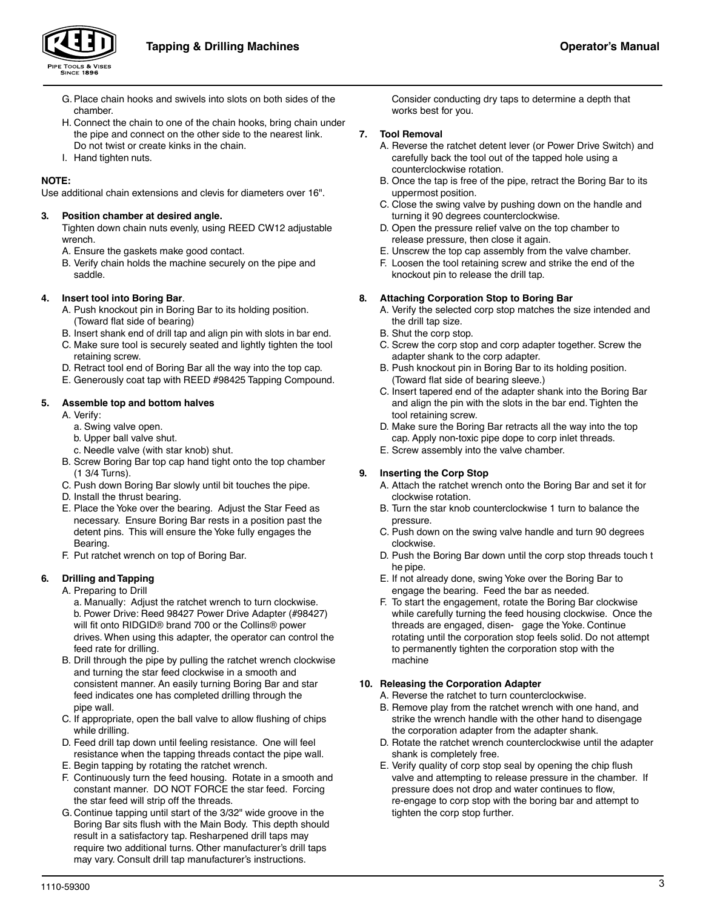

- G. Place chain hooks and swivels into slots on both sides of the chamber.
- H. Connect the chain to one of the chain hooks, bring chain under the pipe and connect on the other side to the nearest link. Do not twist or create kinks in the chain.
- I. Hand tighten nuts.

## **NOTE:**

Use additional chain extensions and clevis for diameters over 16".

## **3. Position chamber at desired angle.**

Tighten down chain nuts evenly, using REED CW12 adjustable wrench.

- A. Ensure the gaskets make good contact.
- B. Verify chain holds the machine securely on the pipe and saddle.

## **4. Insert tool into Boring Bar**.

- A. Push knockout pin in Boring Bar to its holding position. (Toward flat side of bearing)
- B. Insert shank end of drill tap and align pin with slots in bar end.
- C. Make sure tool is securely seated and lightly tighten the tool retaining screw.
- D. Retract tool end of Boring Bar all the way into the top cap.
- E. Generously coat tap with REED #98425 Tapping Compound.

## **5. Assemble top and bottom halves**

- A. Verify:
	- a. Swing valve open.
	- b. Upper ball valve shut.
	- c. Needle valve (with star knob) shut.
- B. Screw Boring Bar top cap hand tight onto the top chamber (1 3/4 Turns).
- C. Push down Boring Bar slowly until bit touches the pipe.
- D. Install the thrust bearing.
- E. Place the Yoke over the bearing. Adjust the Star Feed as necessary. Ensure Boring Bar rests in a position past the detent pins. This will ensure the Yoke fully engages the Bearing.
- F. Put ratchet wrench on top of Boring Bar.

## **6. Drilling and Tapping**

A. Preparing to Drill

a. Manually: Adjust the ratchet wrench to turn clockwise. b. Power Drive: Reed 98427 Power Drive Adapter (#98427) will fit onto RIDGID® brand 700 or the Collins® power drives. When using this adapter, the operator can control the feed rate for drilling.

- B. Drill through the pipe by pulling the ratchet wrench clockwise and turning the star feed clockwise in a smooth and consistent manner. An easily turning Boring Bar and star feed indicates one has completed drilling through the pipe wall.
- C. If appropriate, open the ball valve to allow flushing of chips while drilling.
- D. Feed drill tap down until feeling resistance. One will feel resistance when the tapping threads contact the pipe wall.
- E. Begin tapping by rotating the ratchet wrench.
- F. Continuously turn the feed housing. Rotate in a smooth and constant manner. DO NOT FORCE the star feed. Forcing the star feed will strip off the threads.
- G. Continue tapping until start of the 3/32" wide groove in the Boring Bar sits flush with the Main Body. This depth should result in a satisfactory tap. Resharpened drill taps may require two additional turns. Other manufacturer's drill taps may vary. Consult drill tap manufacturer's instructions.

Consider conducting dry taps to determine a depth that works best for you.

## **7. Tool Removal**

- A. Reverse the ratchet detent lever (or Power Drive Switch) and carefully back the tool out of the tapped hole using a counterclockwise rotation.
- B. Once the tap is free of the pipe, retract the Boring Bar to its uppermost position.
- C. Close the swing valve by pushing down on the handle and turning it 90 degrees counterclockwise.
- D. Open the pressure relief valve on the top chamber to release pressure, then close it again.
- E. Unscrew the top cap assembly from the valve chamber.
- F. Loosen the tool retaining screw and strike the end of the knockout pin to release the drill tap.

## **8. Attaching Corporation Stop to Boring Bar**

- A. Verify the selected corp stop matches the size intended and the drill tap size.
- B. Shut the corp stop.
- C. Screw the corp stop and corp adapter together. Screw the adapter shank to the corp adapter.
- B. Push knockout pin in Boring Bar to its holding position. (Toward flat side of bearing sleeve.)
- C. Insert tapered end of the adapter shank into the Boring Bar and align the pin with the slots in the bar end. Tighten the tool retaining screw.
- D. Make sure the Boring Bar retracts all the way into the top cap. Apply non-toxic pipe dope to corp inlet threads.
- E. Screw assembly into the valve chamber.

## **9. Inserting the Corp Stop**

- A. Attach the ratchet wrench onto the Boring Bar and set it for clockwise rotation.
- B. Turn the star knob counterclockwise 1 turn to balance the pressure.
- C. Push down on the swing valve handle and turn 90 degrees clockwise.
- D. Push the Boring Bar down until the corp stop threads touch t he pipe.
- E. If not already done, swing Yoke over the Boring Bar to engage the bearing. Feed the bar as needed.
- F. To start the engagement, rotate the Boring Bar clockwise while carefully turning the feed housing clockwise. Once the threads are engaged, disen- gage the Yoke. Continue rotating until the corporation stop feels solid. Do not attempt to permanently tighten the corporation stop with the machine

## **10. Releasing the Corporation Adapter**

- A. Reverse the ratchet to turn counterclockwise.
- B. Remove play from the ratchet wrench with one hand, and strike the wrench handle with the other hand to disengage the corporation adapter from the adapter shank.
- D. Rotate the ratchet wrench counterclockwise until the adapter shank is completely free.
- E. Verify quality of corp stop seal by opening the chip flush valve and attempting to release pressure in the chamber. If pressure does not drop and water continues to flow, re-engage to corp stop with the boring bar and attempt to tighten the corp stop further.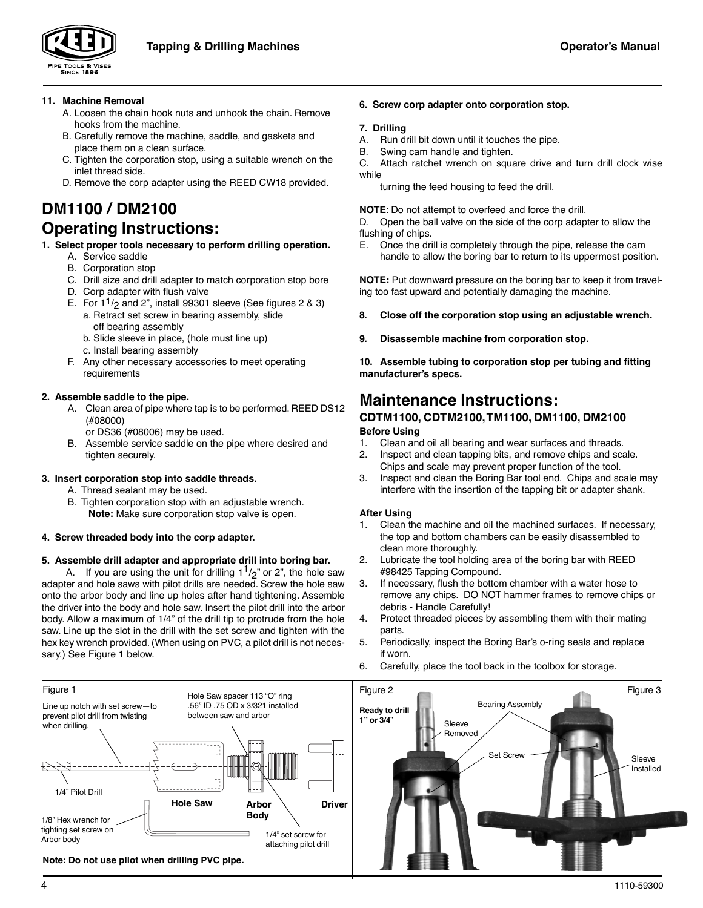

# **11. Machine Removal**

- A. Loosen the chain hook nuts and unhook the chain. Remove hooks from the machine.
- B. Carefully remove the machine, saddle, and gaskets and place them on a clean surface.
- C. Tighten the corporation stop, using a suitable wrench on the inlet thread side.
- D. Remove the corp adapter using the REED CW18 provided.

# **DM1100 / DM2100 Operating Instructions:**

- **1. Select proper tools necessary to perform drilling operation.**
	- A. Service saddle B. Corporation stop
	- C. Drill size and drill adapter to match corporation stop bore
	- D. Corp adapter with flush valve
	- E. For  $1^{1}/_{2}$  and 2", install 99301 sleeve (See figures 2 & 3) a. Retract set screw in bearing assembly, slide
		- off bearing assembly
		- b. Slide sleeve in place, (hole must line up)
		- c. Install bearing assembly
	- F. Any other necessary accessories to meet operating requirements

# **2. Assemble saddle to the pipe.**

- A. Clean area of pipe where tap is to be performed. REED DS12 (#08000)
	- or DS36 (#08006) may be used.
- B. Assemble service saddle on the pipe where desired and tighten securely.

# **3. Insert corporation stop into saddle threads.**

- A. Thread sealant may be used.
- B. Tighten corporation stop with an adjustable wrench.  **Note:** Make sure corporation stop valve is open.
- **4. Screw threaded body into the corp adapter.**

# **5. Assemble drill adapter and appropriate drill into boring bar.**

A. If you are using the unit for drilling  $1^{1}/2$  or 2", the hole saw adapter and hole saws with pilot drills are needed. Screw the hole saw onto the arbor body and line up holes after hand tightening. Assemble the driver into the body and hole saw. Insert the pilot drill into the arbor body. Allow a maximum of 1/4" of the drill tip to protrude from the hole saw. Line up the slot in the drill with the set screw and tighten with the hex key wrench provided. (When using on PVC, a pilot drill is not necessary.) See Figure 1 below.

## **6. Screw corp adapter onto corporation stop.**

## **7. Drilling**

- A. Run drill bit down until it touches the pipe.
- B. Swing cam handle and tighten.

C. Attach ratchet wrench on square drive and turn drill clock wise while

turning the feed housing to feed the drill.

**NOTE**: Do not attempt to overfeed and force the drill.

D. Open the ball valve on the side of the corp adapter to allow the flushing of chips.

E. Once the drill is completely through the pipe, release the cam handle to allow the boring bar to return to its uppermost position.

**NOTE:** Put downward pressure on the boring bar to keep it from traveling too fast upward and potentially damaging the machine.

- **8. Close off the corporation stop using an adjustable wrench.**
- **9. Disassemble machine from corporation stop.**

**10. Assemble tubing to corporation stop per tubing and fitting manufacturer's specs.**

# **Maintenance Instructions:**

# **CDTM1100, CDTM2100, TM1100, DM1100, DM2100 Before Using**

- 1. Clean and oil all bearing and wear surfaces and threads.
- 2. Inspect and clean tapping bits, and remove chips and scale. Chips and scale may prevent proper function of the tool.
- 3. Inspect and clean the Boring Bar tool end. Chips and scale may interfere with the insertion of the tapping bit or adapter shank.

# **After Using**

- 1. Clean the machine and oil the machined surfaces. If necessary, the top and bottom chambers can be easily disassembled to clean more thoroughly.
- 2. Lubricate the tool holding area of the boring bar with REED #98425 Tapping Compound.
- 3. If necessary, flush the bottom chamber with a water hose to remove any chips. DO NOT hammer frames to remove chips or debris - Handle Carefully!
- 4. Protect threaded pieces by assembling them with their mating parts.
- 5. Periodically, inspect the Boring Bar's o-ring seals and replace if worn.
- 6. Carefully, place the tool back in the toolbox for storage.

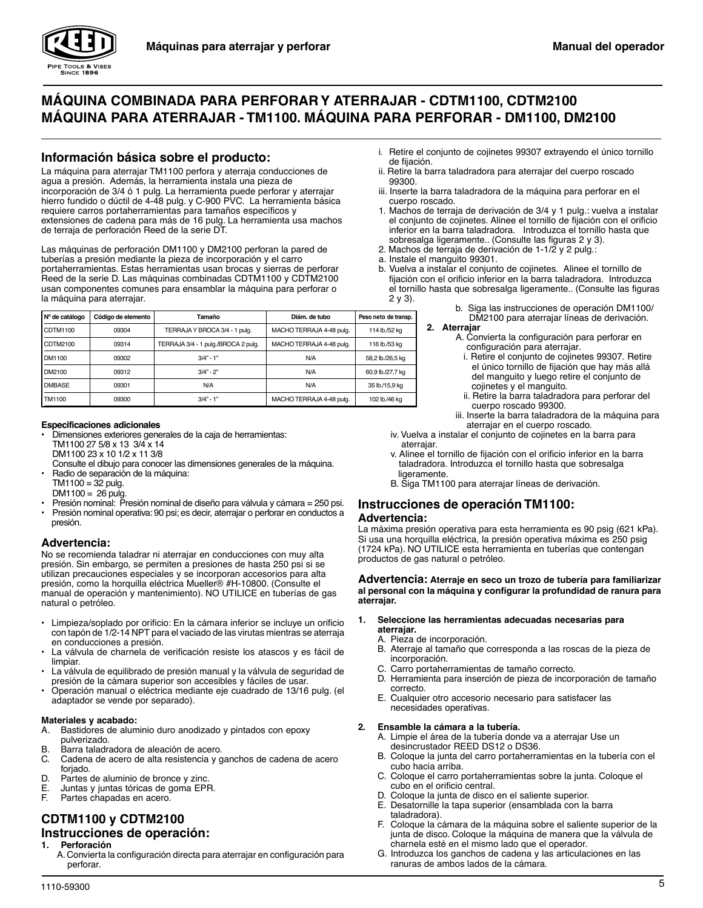

# **MÁQUINA COMBINADA PARA PERFORAR Y ATERRAJAR - CDTM1100, CDTM2100 MÁQUINA PARA ATERRAJAR - TM1100. MÁQUINA PARA PERFORAR - DM1100, DM2100**

# **Información básica sobre el producto:**

La máquina para aterrajar TM1100 perfora y aterraja conducciones de agua a presión. Además, la herramienta instala una pieza de incorporación de 3/4 ó 1 pulg. La herramienta puede perforar y aterrajar hierro fundido o dúctil de 4-48 pulg. y C-900 PVC. La herramienta básica requiere carros portaherramientas para tamaños específicos y extensiones de cadena para más de 16 pulg. La herramienta usa machos de terraja de perforación Reed de la serie DT.

Las máquinas de perforación DM1100 y DM2100 perforan la pared de tuberías a presión mediante la pieza de incorporación y el carro portaherramientas. Estas herramientas usan brocas y sierras de perforar Reed de la serie D. Las máquinas combinadas CDTM1100 y CDTM2100 usan componentes comunes para ensamblar la máquina para perforar o la máquina para aterrajar.

| N° de catálogo | Código de elemento | Tamaño                              | Diám, de tubo            | Peso neto de transp. |
|----------------|--------------------|-------------------------------------|--------------------------|----------------------|
| CDTM1100       | 09304              | TERRAJA Y BROCA 3/4 - 1 pula.       | MACHO TERRAJA 4-48 pula. | 114 lb./52 kg        |
| CDTM2100       | 09314              | TERRAJA 3/4 - 1 pulg./BROCA 2 pulg. | MACHO TERRAJA 4-48 pula. | 116 lb./53 ka        |
| DM1100         | 09302              | $3/4" - 1"$                         | N/A                      | 58,2 lb./26,5 kg     |
| DM2100         | 09312              | $3/4" - 2"$                         | N/A                      | 60,9 lb./27,7 kg     |
| <b>DMBASE</b>  | 09301              | N/A                                 | N/A                      | 35 lb./15,9 kg       |
| TM1100         | 09300              | $3/4" - 1"$                         | MACHO TERRAJA 4-48 pula. | 102 lb./46 ka        |

#### **Especificaciones adicionales**

- Dimensiones exteriores generales de la caja de herramientas: TM1100 27 5/8 x 13 3/4 x 14
- DM1100 23 x 10 1/2 x 11 3/8

Consulte el dibujo para conocer las dimensiones generales de la máquina. • Radio de separación de la máquina:

- $TM1100 = 32$  pulg.
- $DM1100 = 26$  pulg.
- Presión nominal: Presión nominal de diseño para válvula y cámara = 250 psi. • Presión nominal operativa: 90 psi; es decir, aterrajar o perforar en conductos a presión.

# **Advertencia:**

No se recomienda taladrar ni aterrajar en conducciones con muy alta presión. Sin embargo, se permiten a presiones de hasta 250 psi si se utilizan precauciones especiales y se incorporan accesorios para alta presión, como la horquilla eléctrica Mueller® #H-10800. (Consulte el manual de operación y mantenimiento). NO UTILICE en tuberías de gas natural o petróleo.

- Limpieza/soplado por orificio: En la cámara inferior se incluye un orificio con tapón de 1/2-14 NPT para el vaciado de las virutas mientras se aterraja en conducciones a presión.
- La válvula de charnela de verificación resiste los atascos y es fácil de limpiar.
- La válvula de equilibrado de presión manual y la válvula de seguridad de presión de la cámara superior son accesibles y fáciles de usar.
- Operación manual o eléctrica mediante eje cuadrado de 13/16 pulg. (el adaptador se vende por separado).

### **Materiales y acabado:**

- A. Bastidores de aluminio duro anodizado y pintados con epoxy pulverizado.
- B. Barra taladradora de aleación de acero.
- C. Cadena de acero de alta resistencia y ganchos de cadena de acero foriado.
- D. Partes de aluminio de bronce y zinc.
- E. Juntas y juntas tóricas de goma EPR.
- Partes chapadas en acero.

# **CDTM1100 y CDTM2100**

# **Instrucciones de operación:**

- **1. Perforación**
	- A. Convierta la configuración directa para aterrajar en configuración para perforar.
- i. Retire el conjunto de cojinetes 99307 extrayendo el único tornillo de fijación.
- ii. Retire la barra taladradora para aterrajar del cuerpo roscado 99300.
- iii. Inserte la barra taladradora de la máquina para perforar en el cuerpo roscado.
- 1. Machos de terraja de derivación de 3/4 y 1 pulg.: vuelva a instalar el conjunto de cojinetes. Alinee el tornillo de fijación con el orificio inferior en la barra taladradora. Introduzca el tornillo hasta que sobresalga ligeramente.. (Consulte las figuras 2 y 3).
- 2. Machos de terraja de derivación de 1-1/2 y 2 pulg.:
- a. Instale el manguito 99301.
- b. Vuelva a instalar el conjunto de cojinetes. Alinee el tornillo de fijación con el orificio inferior en la barra taladradora. Introduzca el tornillo hasta que sobresalga ligeramente.. (Consulte las figuras 2 y 3).
	- b. Siga las instrucciones de operación DM1100/ DM2100 para aterrajar líneas de derivación.
	- **2. Aterrajar**
		- A. Convierta la configuración para perforar en configuración para aterrajar.
			- i. Retire el conjunto de cojinetes 99307. Retire el único tornillo de fijación que hay más allá del manguito y luego retire el conjunto de cojinetes y el manguito.
		- ii. Retire la barra taladradora para perforar del cuerpo roscado 99300.
		- iii. Inserte la barra taladradora de la máquina para aterrajar en el cuerpo roscado.
	- iv. Vuelva a instalar el conjunto de cojinetes en la barra para aterrajar.
	- v. Alinee el tornillo de fijación con el orificio inferior en la barra taladradora. Introduzca el tornillo hasta que sobresalga ligeramente.
	- B. Siga TM1100 para aterrajar líneas de derivación.

# **Instrucciones de operación TM1100: Advertencia:**

La máxima presión operativa para esta herramienta es 90 psig (621 kPa). Si usa una horquilla eléctrica, la presión operativa máxima es 250 psig (1724 kPa). NO UTILICE esta herramienta en tuberías que contengan productos de gas natural o petróleo.

#### **Advertencia: Aterraje en seco un trozo de tubería para familiarizar al personal con la máquina y configurar la profundidad de ranura para aterrajar.**

- **1. Seleccione las herramientas adecuadas necesarias para aterrajar.**
	- A. Pieza de incorporación.
	- B. Aterraje al tamaño que corresponda a las roscas de la pieza de incorporación.
	- C. Carro portaherramientas de tamaño correcto.
	- D. Herramienta para inserción de pieza de incorporación de tamaño correcto.
	- E. Cualquier otro accesorio necesario para satisfacer las necesidades operativas.

### **2. Ensamble la cámara a la tubería.**

- A. Limpie el área de la tubería donde va a aterrajar Use un desincrustador REED DS12 o DS36.
- B. Coloque la junta del carro portaherramientas en la tubería con el cubo hacia arriba.
- C. Coloque el carro portaherramientas sobre la junta. Coloque el cubo en el orificio central.
- D. Coloque la junta de disco en el saliente superior.<br>El Desatornille la tapa superior (ensamblada con la
- Desatornille la tapa superior (ensamblada con la barra taladradora).
- F. Coloque la cámara de la máquina sobre el saliente superior de la junta de disco. Coloque la máquina de manera que la válvula de charnela esté en el mismo lado que el operador.
- G. Introduzca los ganchos de cadena y las articulaciones en las ranuras de ambos lados de la cámara.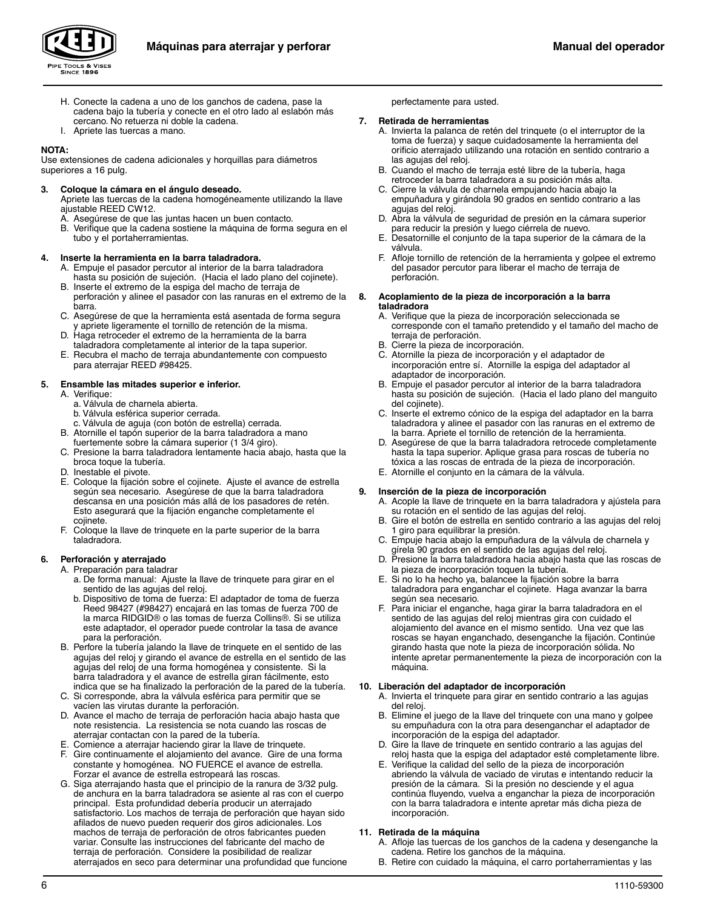



- H. Conecte la cadena a uno de los ganchos de cadena, pase la cadena bajo la tubería y conecte en el otro lado al eslabón más cercano. No retuerza ni doble la cadena.
- I. Apriete las tuercas a mano.

## **NOTA:**

Use extensiones de cadena adicionales y horquillas para diámetros superiores a 16 pulg.

### **3. Coloque la cámara en el ángulo deseado.**

Apriete las tuercas de la cadena homogéneamente utilizando la llave ajustable REED CW12.

A. Asegúrese de que las juntas hacen un buen contacto.

B. Verifique que la cadena sostiene la máquina de forma segura en el tubo y el portaherramientas.

#### **4. Inserte la herramienta en la barra taladradora.**

- A. Empuje el pasador percutor al interior de la barra taladradora hasta su posición de sujeción. (Hacia el lado plano del cojinete).
- B. Inserte el extremo de la espiga del macho de terraja de perforación y alinee el pasador con las ranuras en el extremo de la barra.
- C. Asegúrese de que la herramienta está asentada de forma segura y apriete ligeramente el tornillo de retención de la misma.
- D. Haga retroceder el extremo de la herramienta de la barra taladradora completamente al interior de la tapa superior.
- E. Recubra el macho de terraja abundantemente con compuesto para aterrajar REED #98425.

#### **5. Ensamble las mitades superior e inferior.**

- A. Verifique:
	- a. Válvula de charnela abierta.
	- b. Válvula esférica superior cerrada.
	- c. Válvula de aguja (con botón de estrella) cerrada.
- B. Atornille el tapón superior de la barra taladradora a mano
- fuertemente sobre la cámara superior (1 3/4 giro).
- C. Presione la barra taladradora lentamente hacia abajo, hasta que la broca toque la tubería.
- Inestable el pivote.
- Coloque la fijación sobre el cojinete. Ajuste el avance de estrella según sea necesario. Asegúrese de que la barra taladradora descansa en una posición más allá de los pasadores de retén. Esto asegurará que la fijación enganche completamente el cojinete.
- F. Coloque la llave de trinquete en la parte superior de la barra taladradora.

### **6. Perforación y aterrajado**

- A. Preparación para taladrar
	- a. De forma manual: Ajuste la llave de trinquete para girar en el sentido de las agujas del reloj.
	- b. Dispositivo de toma de fuerza: El adaptador de toma de fuerza Reed 98427 (#98427) encajará en las tomas de fuerza 700 de la marca RIDGID® o las tomas de fuerza Collins®. Si se utiliza este adaptador, el operador puede controlar la tasa de avance para la perforación.
- B. Perfore la tubería jalando la llave de trinquete en el sentido de las agujas del reloj y girando el avance de estrella en el sentido de las agujas del reloj de una forma homogénea y consistente. Si la barra taladradora y el avance de estrella giran fácilmente, esto indica que se ha finalizado la perforación de la pared de la tubería.
- C. Si corresponde, abra la válvula esférica para permitir que se vacíen las virutas durante la perforación.
- D. Avance el macho de terraja de perforación hacia abajo hasta que note resistencia. La resistencia se nota cuando las roscas de aterrajar contactan con la pared de la tubería.
- Comience a aterrajar haciendo girar la llave de trinquete. F. Gire continuamente el alojamiento del avance. Gire de una forma constante y homogénea. NO FUERCE el avance de estrella. Forzar el avance de estrella estropeará las roscas.
- G. Siga aterrajando hasta que el principio de la ranura de 3/32 pulg. de anchura en la barra taladradora se asiente al ras con el cuerpo principal. Esta profundidad debería producir un aterrajado satisfactorio. Los machos de terraja de perforación que hayan sido afilados de nuevo pueden requerir dos giros adicionales. Los machos de terraja de perforación de otros fabricantes pueden variar. Consulte las instrucciones del fabricante del macho de terraja de perforación. Considere la posibilidad de realizar aterrajados en seco para determinar una profundidad que funcione

perfectamente para usted.

#### **7. Retirada de herramientas**

- A. Invierta la palanca de retén del trinquete (o el interruptor de la toma de fuerza) y saque cuidadosamente la herramienta del orificio aterrajado utilizando una rotación en sentido contrario a las agujas del reloj.
- B. Cuando el macho de terraja esté libre de la tubería, haga retroceder la barra taladradora a su posición más alta.
- C. Cierre la válvula de charnela empujando hacia abajo la empuñadura y girándola 90 grados en sentido contrario a las agujas del reloj.
- D. Abra la válvula de seguridad de presión en la cámara superior para reducir la presión y luego ciérrela de nuevo.
- E. Desatornille el conjunto de la tapa superior de la cámara de la válvula.
- F. Afloje tornillo de retención de la herramienta y golpee el extremo del pasador percutor para liberar el macho de terraja de perforación.

#### **8. Acoplamiento de la pieza de incorporación a la barra taladradora**

- A. Verifique que la pieza de incorporación seleccionada se corresponde con el tamaño pretendido y el tamaño del macho de terraja de perforación.
- B. Cierre la pieza de incorporación.
- C. Atornille la pieza de incorporación y el adaptador de incorporación entre sí. Atornille la espiga del adaptador al adaptador de incorporación.
- B. Empuje el pasador percutor al interior de la barra taladradora hasta su posición de sujeción. (Hacia el lado plano del manguito del cojinete).
- C. Inserte el extremo cónico de la espiga del adaptador en la barra taladradora y alinee el pasador con las ranuras en el extremo de la barra. Apriete el tornillo de retención de la herramienta.
- D. Asegúrese de que la barra taladradora retrocede completamente hasta la tapa superior. Aplique grasa para roscas de tubería no tóxica a las roscas de entrada de la pieza de incorporación.
- E. Atornille el conjunto en la cámara de la válvula.

## **9. Inserción de la pieza de incorporación**

- A. Acople la llave de trinquete en la barra taladradora y ajústela para su rotación en el sentido de las agujas del reloj.
- B. Gire el botón de estrella en sentido contrario a las agujas del reloj 1 giro para equilibrar la presión.
- C. Empuje hacia abajo la empuñadura de la válvula de charnela y gírela 90 grados en el sentido de las agujas del reloj.
- D. Presione la barra taladradora hacia abajo hasta que las roscas de la pieza de incorporación toquen la tubería.
- E. Si no lo ha hecho ya, balancee la fijación sobre la barra taladradora para enganchar el cojinete. Haga avanzar la barra según sea necesario.
- F. Para iniciar el enganche, haga girar la barra taladradora en el sentido de las agujas del reloj mientras gira con cuidado el alojamiento del avance en el mismo sentido. Una vez que las roscas se hayan enganchado, desenganche la fijación. Continúe girando hasta que note la pieza de incorporación sólida. No intente apretar permanentemente la pieza de incorporación con la máquina.

#### **10. Liberación del adaptador de incorporación**

- A. Invierta el trinquete para girar en sentido contrario a las agujas del reloj.
- B. Elimine el juego de la llave del trinquete con una mano y golpee su empuñadura con la otra para desenganchar el adaptador de incorporación de la espiga del adaptador.
- D. Gire la llave de trinquete en sentido contrario a las agujas del reloj hasta que la espiga del adaptador esté completamente libre.
- E. Verifique la calidad del sello de la pieza de incorporación abriendo la válvula de vaciado de virutas e intentando reducir la presión de la cámara. Si la presión no desciende y el agua continúa fluyendo, vuelva a enganchar la pieza de incorporación con la barra taladradora e intente apretar más dicha pieza de incorporación.

## **11. Retirada de la máquina**

- A. Afloje las tuercas de los ganchos de la cadena y desenganche la cadena. Retire los ganchos de la máquina.
- B. Retire con cuidado la máquina, el carro portaherramientas y las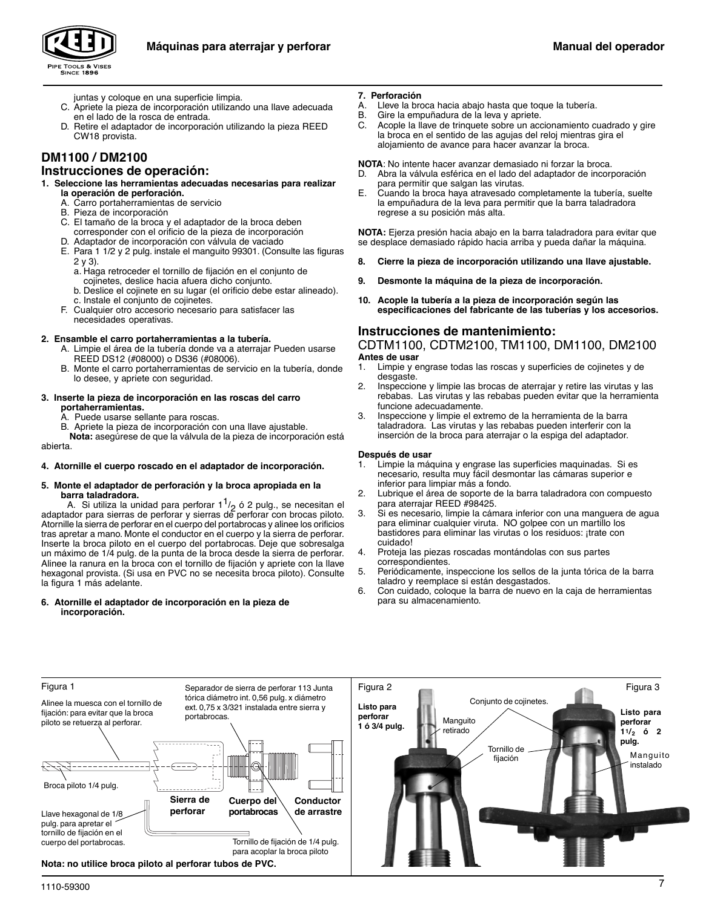



- juntas y coloque en una superficie limpia.
- C. Apriete la pieza de incorporación utilizando una llave adecuada en el lado de la rosca de entrada.
- D. Retire el adaptador de incorporación utilizando la pieza REED CW18 provista.

# **DM1100 / DM2100**

## **Instrucciones de operación:**

#### **1. Seleccione las herramientas adecuadas necesarias para realizar la operación de perforación.**

- A. Carro portaherramientas de servicio
- Pieza de incorporación
- C. El tamaño de la broca y el adaptador de la broca deben
- corresponder con el orificio de la pieza de incorporación Adaptador de incorporación con válvula de vaciado
- E. Para 1 1/2 y 2 pulg. instale el manguito 99301. (Consulte las figuras 2 y 3).
	- a. Haga retroceder el tornillo de fijación en el conjunto de
	- cojinetes, deslice hacia afuera dicho conjunto.
	- b. Deslice el cojinete en su lugar (el orificio debe estar alineado). c. Instale el conjunto de cojinetes.
- F. Cualquier otro accesorio necesario para satisfacer las necesidades operativas.

## **2. Ensamble el carro portaherramientas a la tubería.**

- A. Limpie el área de la tubería donde va a aterrajar Pueden usarse REED DS12 (#08000) o DS36 (#08006).
- B. Monte el carro portaherramientas de servicio en la tubería, donde lo desee, y apriete con seguridad.

#### **3. Inserte la pieza de incorporación en las roscas del carro portaherramientas.**

- A. Puede usarse sellante para roscas.
- B. Apriete la pieza de incorporación con una llave ajustable.

**Nota:** asegúrese de que la válvula de la pieza de incorporación está abierta.

### **4. Atornille el cuerpo roscado en el adaptador de incorporación.**

#### **5. Monte el adaptador de perforación y la broca apropiada en la barra taladradora.**

A. Si utiliza la unidad para perforar  $1^{1}/2$  ó 2 pulg., se necesitan el adaptador para sierras de perforar y sierras de perforar con brocas piloto. Atornille la sierra de perforar en el cuerpo del portabrocas y alinee los orificios tras apretar a mano. Monte el conductor en el cuerpo y la sierra de perforar. Inserte la broca piloto en el cuerpo del portabrocas. Deje que sobresalga un máximo de 1/4 pulg. de la punta de la broca desde la sierra de perforar. Alinee la ranura en la broca con el tornillo de fijación y apriete con la llave hexagonal provista. (Si usa en PVC no se necesita broca piloto). Consulte la figura 1 más adelante.

### **6. Atornille el adaptador de incorporación en la pieza de incorporación.**

#### **7. Perforación**

- A. Lleve la broca hacia abajo hasta que toque la tubería.
- B. Gire la empuñadura de la leva y apriete.<br>C. Acople la llave de trinquete sobre un acc
- Acople la llave de trinquete sobre un accionamiento cuadrado y gire la broca en el sentido de las agujas del reloj mientras gira el alojamiento de avance para hacer avanzar la broca.

**NOTA**: No intente hacer avanzar demasiado ni forzar la broca.

- Abra la válvula esférica en el lado del adaptador de incorporación para permitir que salgan las virutas.
- E. Cuando la broca haya atravesado completamente la tubería, suelte la empuñadura de la leva para permitir que la barra taladradora regrese a su posición más alta.

**NOTA:** Ejerza presión hacia abajo en la barra taladradora para evitar que se desplace demasiado rápido hacia arriba y pueda dañar la máquina.

- **8. Cierre la pieza de incorporación utilizando una llave ajustable.**
- **9. Desmonte la máquina de la pieza de incorporación.**
- **10. Acople la tubería a la pieza de incorporación según las especificaciones del fabricante de las tuberías y los accesorios.**

# **Instrucciones de mantenimiento:**

CDTM1100, CDTM2100, TM1100, DM1100, DM2100 **Antes de usar**

- 1. Limpie y engrase todas las roscas y superficies de cojinetes y de desgaste.
- 2. Inspeccione y limpie las brocas de aterrajar y retire las virutas y las rebabas. Las virutas y las rebabas pueden evitar que la herramienta funcione adecuadamente.
- 3. Inspeccione y limpie el extremo de la herramienta de la barra taladradora. Las virutas y las rebabas pueden interferir con la inserción de la broca para aterrajar o la espiga del adaptador.

#### **Después de usar**

- 1. Limpie la máquina y engrase las superficies maquinadas. Si es necesario, resulta muy fácil desmontar las cámaras superior e inferior para limpiar más a fondo.
- 2. Lubrique el área de soporte de la barra taladradora con compuesto para aterrajar REED #98425.
- 3. Si es necesario, limpie la cámara inferior con una manguera de agua para eliminar cualquier viruta. NO golpee con un martillo los bastidores para eliminar las virutas o los residuos: ¡trate con cuidado!
- 4. Proteja las piezas roscadas montándolas con sus partes correspondientes.
- 5. Periódicamente, inspeccione los sellos de la junta tórica de la barra taladro y reemplace si están desgastados.
- 6. Con cuidado, coloque la barra de nuevo en la caja de herramientas para su almacenamiento.

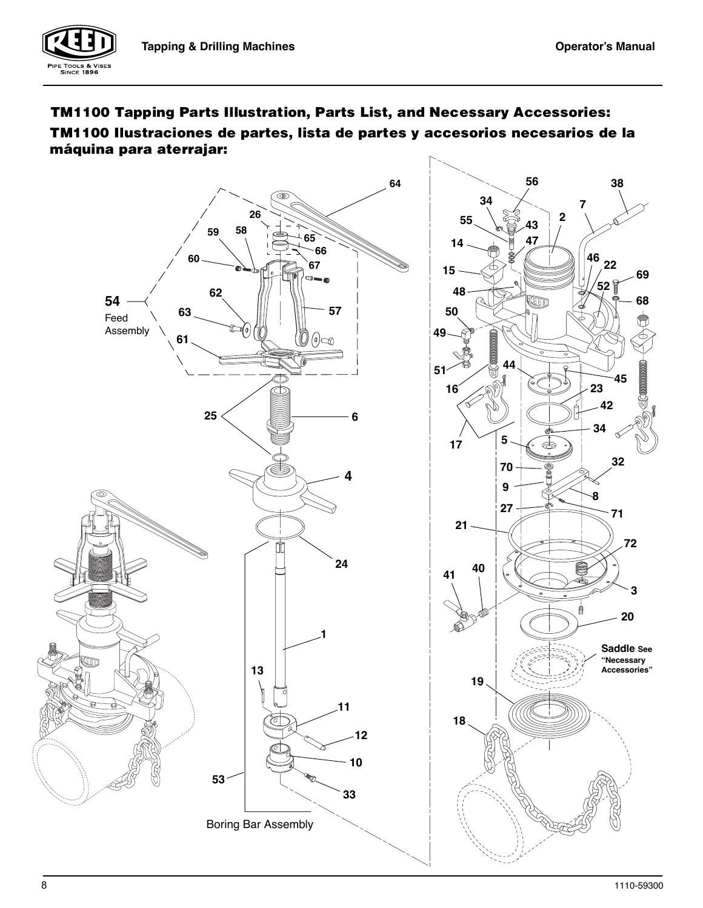



 **máquina para aterrajar:**

E TOOLS & VISES<br>SINCE 1896

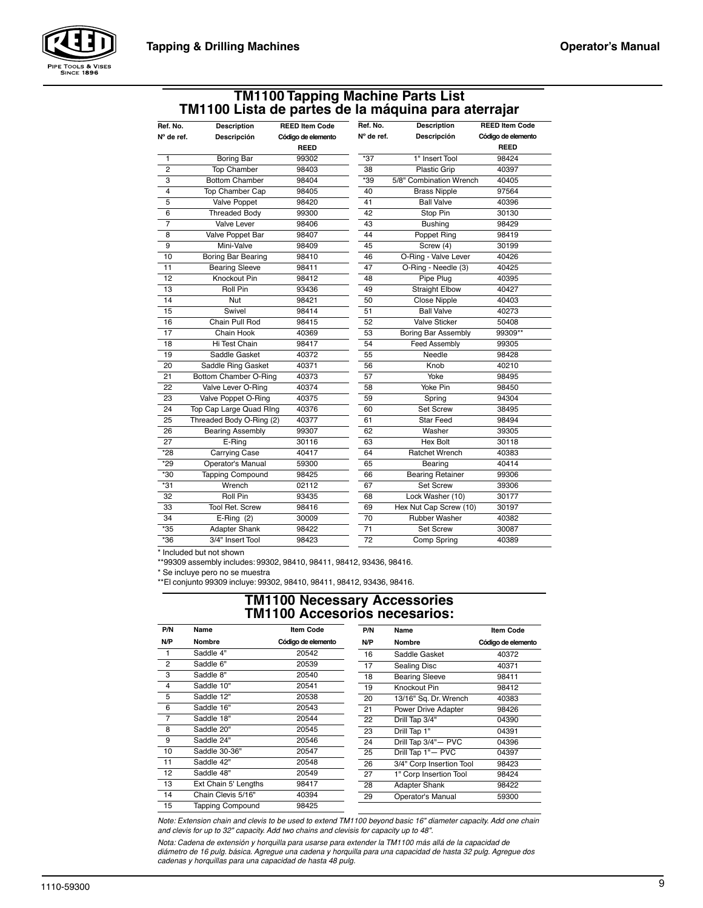

# **TM1100 Tapping Machine Parts List TM1100 Lista de partes de la máquina para aterrajar**

|                           |                                                                                                                                                                                 |                                                                                                                                                              |                                                  | <b>REED Item Code</b>                                                                                                                                                        |
|---------------------------|---------------------------------------------------------------------------------------------------------------------------------------------------------------------------------|--------------------------------------------------------------------------------------------------------------------------------------------------------------|--------------------------------------------------|------------------------------------------------------------------------------------------------------------------------------------------------------------------------------|
| N° de ref.                |                                                                                                                                                                                 |                                                                                                                                                              |                                                  | Código de elemento                                                                                                                                                           |
|                           |                                                                                                                                                                                 |                                                                                                                                                              |                                                  | REED                                                                                                                                                                         |
|                           |                                                                                                                                                                                 |                                                                                                                                                              |                                                  | 98424                                                                                                                                                                        |
|                           |                                                                                                                                                                                 |                                                                                                                                                              |                                                  | 40397                                                                                                                                                                        |
|                           | 98404                                                                                                                                                                           |                                                                                                                                                              |                                                  | 40405                                                                                                                                                                        |
|                           | 98405                                                                                                                                                                           | 40                                                                                                                                                           |                                                  | 97564                                                                                                                                                                        |
|                           | 98420                                                                                                                                                                           | 41                                                                                                                                                           |                                                  | 40396                                                                                                                                                                        |
|                           | 99300                                                                                                                                                                           | 42                                                                                                                                                           |                                                  | 30130                                                                                                                                                                        |
| <b>Valve Lever</b>        | 98406                                                                                                                                                                           | 43                                                                                                                                                           | <b>Bushing</b>                                   | 98429                                                                                                                                                                        |
| Valve Poppet Bar          | 98407                                                                                                                                                                           | 44                                                                                                                                                           | Poppet Ring                                      | 98419                                                                                                                                                                        |
| Mini-Valve                | 98409                                                                                                                                                                           | 45                                                                                                                                                           | Screw (4)                                        | 30199                                                                                                                                                                        |
| <b>Boring Bar Bearing</b> | 98410                                                                                                                                                                           | 46                                                                                                                                                           | O-Ring - Valve Lever                             | 40426                                                                                                                                                                        |
| <b>Bearing Sleeve</b>     | 98411                                                                                                                                                                           | 47                                                                                                                                                           | O-Ring - Needle (3)                              | 40425                                                                                                                                                                        |
| Knockout Pin              | 98412                                                                                                                                                                           | 48                                                                                                                                                           | Pipe Plug                                        | 40395                                                                                                                                                                        |
| Roll Pin                  | 93436                                                                                                                                                                           | 49                                                                                                                                                           | <b>Straight Elbow</b>                            | 40427                                                                                                                                                                        |
| Nut                       | 98421                                                                                                                                                                           | 50                                                                                                                                                           | <b>Close Nipple</b>                              | 40403                                                                                                                                                                        |
| Swivel                    | 98414                                                                                                                                                                           | 51                                                                                                                                                           | <b>Ball Valve</b>                                | 40273                                                                                                                                                                        |
| Chain Pull Rod            | 98415                                                                                                                                                                           | 52                                                                                                                                                           | <b>Valve Sticker</b>                             | 50408                                                                                                                                                                        |
| Chain Hook                | 40369                                                                                                                                                                           | 53                                                                                                                                                           | <b>Boring Bar Assembly</b>                       | 99309**                                                                                                                                                                      |
| Hi Test Chain             | 98417                                                                                                                                                                           | 54                                                                                                                                                           | <b>Feed Assembly</b>                             | 99305                                                                                                                                                                        |
| Saddle Gasket             | 40372                                                                                                                                                                           | 55                                                                                                                                                           | Needle                                           | 98428                                                                                                                                                                        |
| Saddle Ring Gasket        | 40371                                                                                                                                                                           | 56                                                                                                                                                           | Knob                                             | 40210                                                                                                                                                                        |
|                           | 40373                                                                                                                                                                           | 57                                                                                                                                                           | Yoke                                             | 98495                                                                                                                                                                        |
| Valve Lever O-Ring        | 40374                                                                                                                                                                           | 58                                                                                                                                                           | Yoke Pin                                         | 98450                                                                                                                                                                        |
| Valve Poppet O-Ring       | 40375                                                                                                                                                                           | 59                                                                                                                                                           | Spring                                           | 94304                                                                                                                                                                        |
|                           | 40376                                                                                                                                                                           | 60                                                                                                                                                           | <b>Set Screw</b>                                 | 38495                                                                                                                                                                        |
|                           | 40377                                                                                                                                                                           | 61                                                                                                                                                           | <b>Star Feed</b>                                 | 98494                                                                                                                                                                        |
| <b>Bearing Assembly</b>   | 99307                                                                                                                                                                           | 62                                                                                                                                                           | Washer                                           | 39305                                                                                                                                                                        |
| E-Ring                    | 30116                                                                                                                                                                           | 63                                                                                                                                                           | <b>Hex Bolt</b>                                  | 30118                                                                                                                                                                        |
| Carrying Case             | 40417                                                                                                                                                                           | 64                                                                                                                                                           | <b>Ratchet Wrench</b>                            | 40383                                                                                                                                                                        |
| Operator's Manual         | 59300                                                                                                                                                                           | 65                                                                                                                                                           | Bearing                                          | 40414                                                                                                                                                                        |
| <b>Tapping Compound</b>   | 98425                                                                                                                                                                           | 66                                                                                                                                                           | <b>Bearing Retainer</b>                          | 99306                                                                                                                                                                        |
| Wrench                    | 02112                                                                                                                                                                           | 67                                                                                                                                                           | Set Screw                                        | 39306                                                                                                                                                                        |
| <b>Roll Pin</b>           | 93435                                                                                                                                                                           | 68                                                                                                                                                           | Lock Washer (10)                                 | 30177                                                                                                                                                                        |
| <b>Tool Ret. Screw</b>    | 98416                                                                                                                                                                           | 69                                                                                                                                                           | Hex Nut Cap Screw (10)                           | 30197                                                                                                                                                                        |
|                           | 30009                                                                                                                                                                           | 70                                                                                                                                                           | <b>Rubber Washer</b>                             | 40382                                                                                                                                                                        |
| Adapter Shank             | 98422                                                                                                                                                                           | 71                                                                                                                                                           | <b>Set Screw</b>                                 | 30087                                                                                                                                                                        |
| 3/4" Insert Tool          | 98423                                                                                                                                                                           |                                                                                                                                                              |                                                  | 40389                                                                                                                                                                        |
|                           | <b>Description</b><br>Descripción<br>Boring Bar<br><b>Top Chamber</b><br><b>Bottom Chamber</b><br>Top Chamber Cap<br><b>Valve Poppet</b><br><b>Threaded Body</b><br>$E-Ring(2)$ | <b>REED Item Code</b><br>Código de elemento<br><b>REED</b><br>99302<br>98403<br>Bottom Chamber O-Ring<br>Top Cap Large Quad Ring<br>Threaded Body O-Ring (2) | Ref. No.<br>N° de ref.<br>*37<br>38<br>*39<br>72 | <b>Description</b><br>Descripción<br>1" Insert Tool<br><b>Plastic Grip</b><br>5/8" Combination Wrench<br><b>Brass Nipple</b><br><b>Ball Valve</b><br>Stop Pin<br>Comp Spring |

\* Included but not shown

\*\*99309 assembly includes: 99302, 98410, 98411, 98412, 93436, 98416.

\* Se incluye pero no se muestra

\*\*El conjunto 99309 incluye: 99302, 98410, 98411, 98412, 93436, 98416.

# **TM1100 Necessary Accessories TM1100 Accesorios necesarios:**

| P/N            | Name                    | <b>Item Code</b>   | P/N | Name                     | Item Code          |
|----------------|-------------------------|--------------------|-----|--------------------------|--------------------|
| N/P            | <b>Nombre</b>           | Código de elemento | N/P | <b>Nombre</b>            | Código de elemento |
| 1              | Saddle 4"               | 20542              | 16  | Saddle Gasket            | 40372              |
| $\overline{2}$ | Saddle 6"               | 20539              | 17  | Sealing Disc             | 40371              |
| 3              | Saddle 8"               | 20540              | 18  | <b>Bearing Sleeve</b>    | 98411              |
| 4              | Saddle 10"              | 20541              | 19  | Knockout Pin             | 98412              |
| 5              | Saddle 12"              | 20538              | 20  | 13/16" Sq. Dr. Wrench    | 40383              |
| 6              | Saddle 16"              | 20543              | 21  | Power Drive Adapter      | 98426              |
| $\overline{7}$ | Saddle 18"              | 20544              | 22  | Drill Tap 3/4"           | 04390              |
| 8              | Saddle 20"              | 20545              | 23  | Drill Tap 1"             | 04391              |
| 9              | Saddle 24"              | 20546              | 24  | Drill Tap 3/4"- PVC      | 04396              |
| 10             | Saddle 30-36"           | 20547              | 25  | Drill Tap 1"- PVC        | 04397              |
| 11             | Saddle 42"              | 20548              | 26  | 3/4" Corp Insertion Tool | 98423              |
| 12             | Saddle 48"              | 20549              | 27  | 1" Corp Insertion Tool   | 98424              |
| 13             | Ext Chain 5' Lengths    | 98417              | 28  | Adapter Shank            | 98422              |
| 14             | Chain Clevis 5/16"      | 40394              | 29  | Operator's Manual        | 59300              |
| 15             | <b>Tapping Compound</b> | 98425              |     |                          |                    |

Note: Extension chain and clevis to be used to extend TM1100 beyond basic 16" diameter capacity. Add one chain and clevis for up to 32" capacity. Add two chains and clevisis for capacity up to 48".

Nota: Cadena de extensión y horquilla para usarse para extender la TM1100 más allá de la capacidad de diámetro de 16 pulg. básica. Agregue una cadena y horquilla para una capacidad de hasta 32 pulg. Agregue dos cadenas y horquillas para una capacidad de hasta 48 pulg.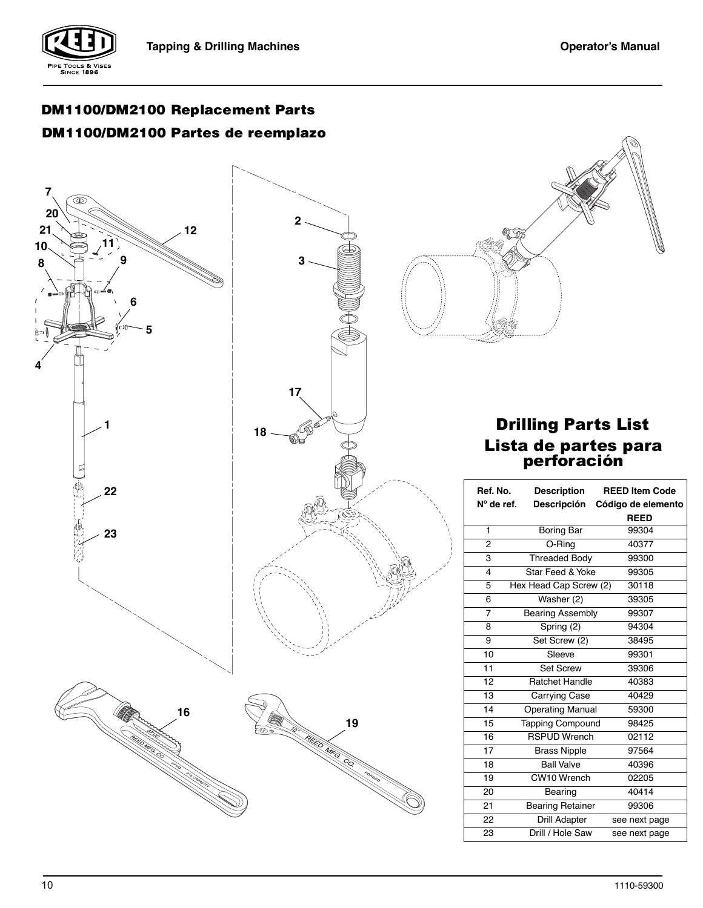

# **DM1100/DM2100 Partes de reemplazo DM1100/DM2100 Replacement Parts**





# Lista de partes para perforación Drilling Parts List

| Ref. No.       | <b>Description</b>      | <b>REED Item Code</b> |
|----------------|-------------------------|-----------------------|
| N° de ref.     | <b>Descripción</b>      | Código de elemento    |
|                |                         | <b>REED</b>           |
| 1              | Boring Bar              | 99304                 |
| $\overline{2}$ | O-Ring                  | 40377                 |
| 3              | <b>Threaded Body</b>    | 99300                 |
| 4              | Star Feed & Yoke        | 99305                 |
| 5              | Hex Head Cap Screw (2)  | 30118                 |
| 6              | Washer (2)              | 39305                 |
| $\overline{7}$ | <b>Bearing Assembly</b> | 99307                 |
| 8              | Spring (2)              | 94304                 |
| 9              | Set Screw (2)           | 38495                 |
| 10             | Sleeve                  | 99301                 |
| 11             | <b>Set Screw</b>        | 39306                 |
| 12             | <b>Ratchet Handle</b>   | 40383                 |
| 13             | Carrying Case           | 40429                 |
| 14             | <b>Operating Manual</b> | 59300                 |
| 15             | <b>Tapping Compound</b> | 98425                 |
| 16             | <b>RSPUD Wrench</b>     | 02112                 |
| 17             | <b>Brass Nipple</b>     | 97564                 |
| 18             | <b>Ball Valve</b>       | 40396                 |
| 19             | CW10 Wrench             | 02205                 |
| 20             | Bearing                 | 40414                 |
| 21             | <b>Bearing Retainer</b> | 99306                 |
| 22             | <b>Drill Adapter</b>    | see next page         |
| 23             | Drill / Hole Saw        | see next page         |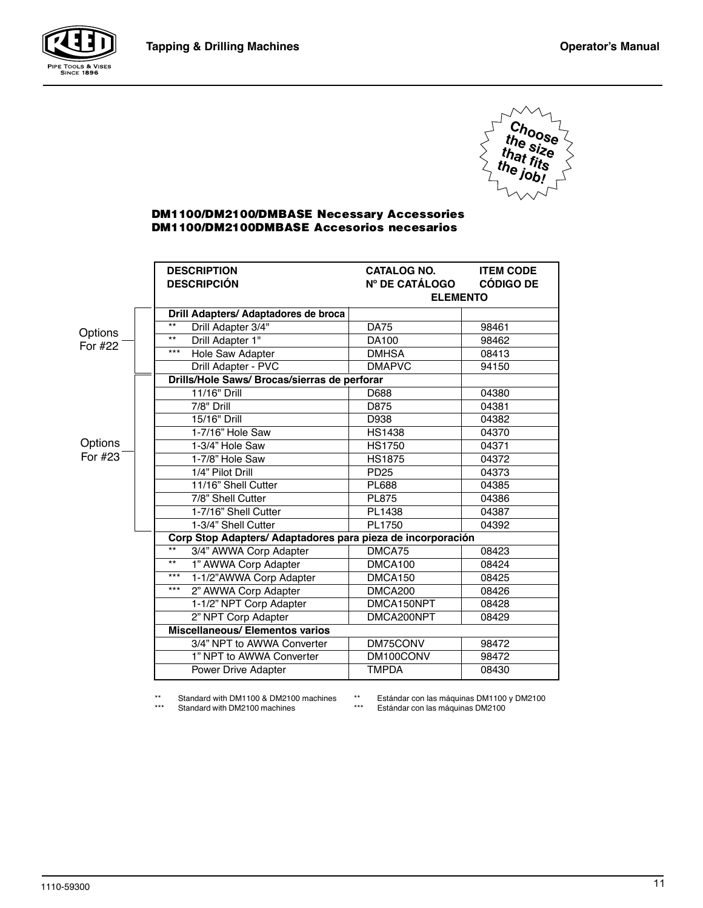



# **DM1100/DM2100/DMBASE Necessary Accessories DM1100/DM2100DMBASE Accesorios necesarios**

|                    | <b>DESCRIPTION</b><br><b>DESCRIPCIÓN</b>                    | <b>CATALOG NO.</b><br><b>N° DE CATÁLOGO</b><br><b>ELEMENTO</b> | <b>ITEM CODE</b><br><b>CÓDIGO DE</b> |  |  |
|--------------------|-------------------------------------------------------------|----------------------------------------------------------------|--------------------------------------|--|--|
|                    | Drill Adapters/ Adaptadores de broca                        |                                                                |                                      |  |  |
|                    | $***$<br>Drill Adapter 3/4"                                 | <b>DA75</b>                                                    | 98461                                |  |  |
| Options<br>For #22 | $***$<br>Drill Adapter 1"                                   | DA100                                                          | 98462                                |  |  |
|                    | $***$<br>Hole Saw Adapter                                   | <b>DMHSA</b>                                                   | 08413                                |  |  |
|                    | Drill Adapter - PVC                                         | <b>DMAPVC</b>                                                  | 94150                                |  |  |
|                    | Drills/Hole Saws/ Brocas/sierras de perforar                |                                                                |                                      |  |  |
|                    | 11/16" Drill                                                | D688                                                           | 04380                                |  |  |
|                    | 7/8" Drill                                                  | D875                                                           | 04381                                |  |  |
|                    | 15/16" Drill                                                | D938                                                           | 04382                                |  |  |
|                    | 1-7/16" Hole Saw                                            | <b>HS1438</b>                                                  | 04370                                |  |  |
| Options            | 1-3/4" Hole Saw                                             | <b>HS1750</b>                                                  | 04371                                |  |  |
| For #23            | 1-7/8" Hole Saw                                             | <b>HS1875</b>                                                  | 04372                                |  |  |
|                    | 1/4" Pilot Drill                                            | <b>PD25</b>                                                    | 04373                                |  |  |
|                    | 11/16" Shell Cutter                                         | <b>PL688</b>                                                   | 04385                                |  |  |
|                    | 7/8" Shell Cutter                                           | <b>PL875</b>                                                   | 04386                                |  |  |
|                    | 1-7/16" Shell Cutter                                        | PL1438                                                         | 04387                                |  |  |
|                    | 1-3/4" Shell Cutter                                         | PL1750                                                         | 04392                                |  |  |
|                    | Corp Stop Adapters/ Adaptadores para pieza de incorporación |                                                                |                                      |  |  |
|                    | $***$<br>3/4" AWWA Corp Adapter                             | DMCA75                                                         | 08423                                |  |  |
|                    | $***$<br>1" AWWA Corp Adapter                               | DMCA100                                                        | 08424                                |  |  |
|                    | $***$<br>1-1/2"AWWA Corp Adapter                            | DMCA150                                                        | 08425                                |  |  |
|                    | $***$<br>2" AWWA Corp Adapter                               | DMCA200                                                        | 08426                                |  |  |
|                    | 1-1/2" NPT Corp Adapter                                     | DMCA150NPT                                                     | 08428                                |  |  |
|                    | 2" NPT Corp Adapter                                         | DMCA200NPT                                                     | 08429                                |  |  |
|                    | <b>Miscellaneous/Elementos varios</b>                       |                                                                |                                      |  |  |
|                    | 3/4" NPT to AWWA Converter                                  | DM75CONV                                                       | 98472                                |  |  |
|                    | 1" NPT to AWWA Converter                                    | DM100CONV                                                      | 98472                                |  |  |
|                    | Power Drive Adapter                                         | <b>TMPDA</b>                                                   | 08430                                |  |  |

\*\* Standard with DM1100 & DM2100 machines Standard with DM2100 machines

\*\* Estándar con las máquinas DM1100 y DM2100 \*\*\* Estándar con las máquinas DM2100